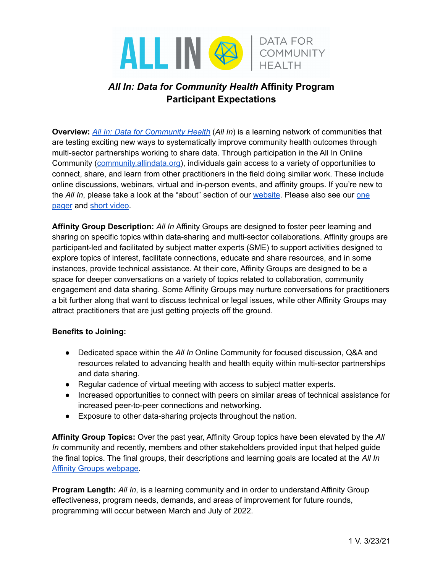

# *All In: Data for Community Health* **Affinity Program Participant Expectations**

**Overview:** *All In: Data for [Community](https://www.allindata.org/) Health* (*All In*) is a learning network of communities that are testing exciting new ways to systematically improve community health outcomes through multi-sector partnerships working to share data. Through participation in the All In Online Community [\(community.allindata.org\)](https://community.allindata.org/), individuals gain access to a variety of opportunities to connect, share, and learn from other practitioners in the field doing similar work. These include online discussions, webinars, virtual and in-person events, and affinity groups. If you're new to the *All In*, please take a look at the "about" section of our [website](https://www.allindata.org/). Please also see our [one](https://www.allindata.org/new-all-in-infographic/) [pager](https://www.allindata.org/new-all-in-infographic/) and short [video](https://www.allindata.org/about-us/).

**Affinity Group Description:** *All In* Affinity Groups are designed to foster peer learning and sharing on specific topics within data-sharing and multi-sector collaborations. Affinity groups are participant-led and facilitated by subject matter experts (SME) to support activities designed to explore topics of interest, facilitate connections, educate and share resources, and in some instances, provide technical assistance. At their core, Affinity Groups are designed to be a space for deeper conversations on a variety of topics related to collaboration, community engagement and data sharing. Some Affinity Groups may nurture conversations for practitioners a bit further along that want to discuss technical or legal issues, while other Affinity Groups may attract practitioners that are just getting projects off the ground.

### **Benefits to Joining:**

- Dedicated space within the *All In* Online Community for focused discussion, Q&A and resources related to advancing health and health equity within multi-sector partnerships and data sharing.
- Regular cadence of virtual meeting with access to subject matter experts.
- Increased opportunities to connect with peers on similar areas of technical assistance for increased peer-to-peer connections and networking.
- Exposure to other data-sharing projects throughout the nation.

**Affinity Group Topics:** Over the past year, Affinity Group topics have been elevated by the *All In* community and recently, members and other stakeholders provided input that helped guide the final topics. The final groups, their descriptions and learning goals are located at the *All In* Affinity Groups [webpage.](https://www.allindata.org/get-involved/affinity-groups/)

**Program Length:** *All In*, is a learning community and in order to understand Affinity Group effectiveness, program needs, demands, and areas of improvement for future rounds, programming will occur between March and July of 2022.